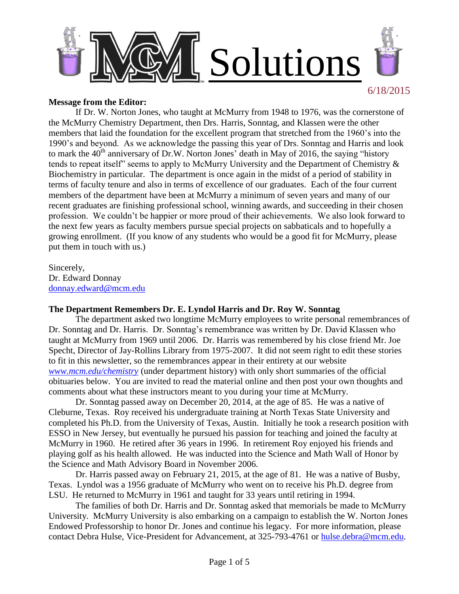

### **Message from the Editor:**

If Dr. W. Norton Jones, who taught at McMurry from 1948 to 1976, was the cornerstone of the McMurry Chemistry Department, then Drs. Harris, Sonntag, and Klassen were the other members that laid the foundation for the excellent program that stretched from the 1960's into the 1990's and beyond. As we acknowledge the passing this year of Drs. Sonntag and Harris and look to mark the  $40<sup>th</sup>$  anniversary of Dr.W. Norton Jones' death in May of 2016, the saying "history tends to repeat itself" seems to apply to McMurry University and the Department of Chemistry & Biochemistry in particular. The department is once again in the midst of a period of stability in terms of faculty tenure and also in terms of excellence of our graduates. Each of the four current members of the department have been at McMurry a minimum of seven years and many of our recent graduates are finishing professional school, winning awards, and succeeding in their chosen profession. We couldn't be happier or more proud of their achievements. We also look forward to the next few years as faculty members pursue special projects on sabbaticals and to hopefully a growing enrollment. (If you know of any students who would be a good fit for McMurry, please put them in touch with us.)

Sincerely, Dr. Edward Donnay [donnay.edward@mcm.edu](mailto:donnay.edward@mcm.edu)

### **The Department Remembers Dr. E. Lyndol Harris and Dr. Roy W. Sonntag**

The department asked two longtime McMurry employees to write personal remembrances of Dr. Sonntag and Dr. Harris. Dr. Sonntag's remembrance was written by Dr. David Klassen who taught at McMurry from 1969 until 2006. Dr. Harris was remembered by his close friend Mr. Joe Specht, Director of Jay-Rollins Library from 1975-2007. It did not seem right to edit these stories to fit in this newsletter, so the remembrances appear in their entirety at our website *[www.mcm.edu/chemistry](http://www.mcm.edu/chemistry)* (under department history) with only short summaries of the official obituaries below. You are invited to read the material online and then post your own thoughts and comments about what these instructors meant to you during your time at McMurry.

Dr. Sonntag passed away on December 20, 2014, at the age of 85. He was a native of Cleburne, Texas. Roy received his undergraduate training at North Texas State University and completed his Ph.D. from the University of Texas, Austin. Initially he took a research position with ESSO in New Jersey, but eventually he pursued his passion for teaching and joined the faculty at McMurry in 1960. He retired after 36 years in 1996. In retirement Roy enjoyed his friends and playing golf as his health allowed. He was inducted into the Science and Math Wall of Honor by the Science and Math Advisory Board in November 2006.

Dr. Harris passed away on February 21, 2015, at the age of 81. He was a native of Busby, Texas. Lyndol was a 1956 graduate of McMurry who went on to receive his Ph.D. degree from LSU. He returned to McMurry in 1961 and taught for 33 years until retiring in 1994.

The families of both Dr. Harris and Dr. Sonntag asked that memorials be made to McMurry University. McMurry University is also embarking on a campaign to establish the W. Norton Jones Endowed Professorship to honor Dr. Jones and continue his legacy. For more information, please contact Debra Hulse, Vice-President for Advancement, at 325-793-4761 or [hulse.debra@mcm.edu.](mailto:hulse.debra@mcm.edu)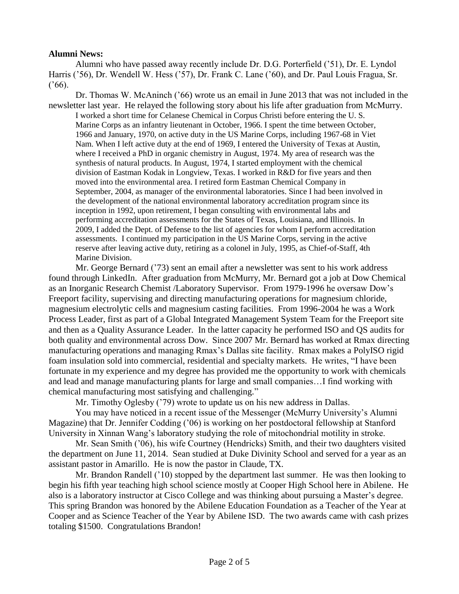## **Alumni News:**

Alumni who have passed away recently include Dr. D.G. Porterfield ('51), Dr. E. Lyndol Harris ('56), Dr. Wendell W. Hess ('57), Dr. Frank C. Lane ('60), and Dr. Paul Louis Fragua, Sr.  $(166)$ .

Dr. Thomas W. McAninch ('66) wrote us an email in June 2013 that was not included in the newsletter last year. He relayed the following story about his life after graduation from McMurry. I worked a short time for Celanese Chemical in Corpus Christi before entering the U. S. Marine Corps as an infantry lieutenant in October, 1966. I spent the time between October, 1966 and January, 1970, on active duty in the US Marine Corps, including 1967-68 in Viet Nam. When I left active duty at the end of 1969, I entered the University of Texas at Austin, where I received a PhD in organic chemistry in August, 1974. My area of research was the synthesis of natural products. In August, 1974, I started employment with the chemical division of Eastman Kodak in Longview, Texas. I worked in R&D for five years and then moved into the environmental area. I retired form Eastman Chemical Company in September, 2004, as manager of the environmental laboratories. Since I had been involved in the development of the national environmental laboratory accreditation program since its inception in 1992, upon retirement, I began consulting with environmental labs and performing accreditation assessments for the States of Texas, Louisiana, and Illinois. In 2009, I added the Dept. of Defense to the list of agencies for whom I perform accreditation assessments. I continued my participation in the US Marine Corps, serving in the active reserve after leaving active duty, retiring as a colonel in July, 1995, as Chief-of-Staff, 4th Marine Division.

Mr. George Bernard ('73) sent an email after a newsletter was sent to his work address found through LinkedIn. After graduation from McMurry, Mr. Bernard got a job at Dow Chemical as an Inorganic Research Chemist /Laboratory Supervisor. From 1979-1996 he oversaw Dow's Freeport facility, supervising and directing manufacturing operations for magnesium chloride, magnesium electrolytic cells and magnesium casting facilities. From 1996-2004 he was a Work Process Leader, first as part of a Global Integrated Management System Team for the Freeport site and then as a Quality Assurance Leader. In the latter capacity he performed ISO and QS audits for both quality and environmental across Dow. Since 2007 Mr. Bernard has worked at Rmax directing manufacturing operations and managing Rmax's Dallas site facility. Rmax makes a PolyISO rigid foam insulation sold into commercial, residential and specialty markets. He writes, "I have been fortunate in my experience and my degree has provided me the opportunity to work with chemicals and lead and manage manufacturing plants for large and small companies…I find working with chemical manufacturing most satisfying and challenging."

Mr. Timothy Oglesby ('79) wrote to update us on his new address in Dallas.

You may have noticed in a recent issue of the Messenger (McMurry University's Alumni Magazine) that Dr. Jennifer Codding ('06) is working on her postdoctoral fellowship at Stanford University in Xinnan Wang's laboratory studying the role of mitochondrial motility in stroke.

Mr. Sean Smith ('06), his wife Courtney (Hendricks) Smith, and their two daughters visited the department on June 11, 2014. Sean studied at Duke Divinity School and served for a year as an assistant pastor in Amarillo. He is now the pastor in Claude, TX.

Mr. Brandon Randell ('10) stopped by the department last summer. He was then looking to begin his fifth year teaching high school science mostly at Cooper High School here in Abilene. He also is a laboratory instructor at Cisco College and was thinking about pursuing a Master's degree. This spring Brandon was honored by the Abilene Education Foundation as a Teacher of the Year at Cooper and as Science Teacher of the Year by Abilene ISD. The two awards came with cash prizes totaling \$1500. Congratulations Brandon!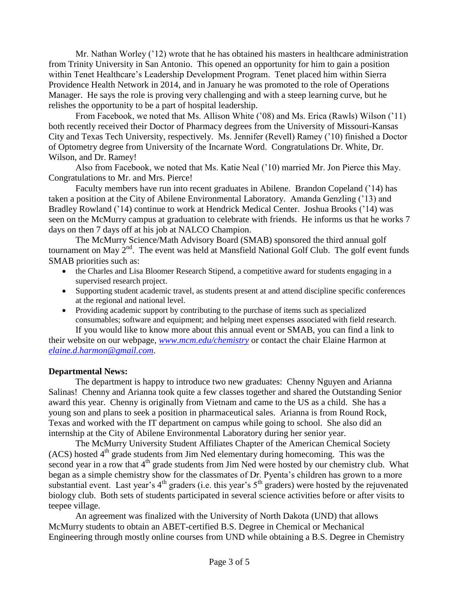Mr. Nathan Worley ('12) wrote that he has obtained his masters in healthcare administration from Trinity University in San Antonio. This opened an opportunity for him to gain a position within Tenet Healthcare's Leadership Development Program. Tenet placed him within Sierra Providence Health Network in 2014, and in January he was promoted to the role of Operations Manager. He says the role is proving very challenging and with a steep learning curve, but he relishes the opportunity to be a part of hospital leadership.

From Facebook, we noted that Ms. Allison White ('08) and Ms. Erica (Rawls) Wilson ('11) both recently received their Doctor of Pharmacy degrees from the University of Missouri-Kansas City and Texas Tech University, respectively. Ms. Jennifer (Revell) Ramey ('10) finished a Doctor of Optometry degree from University of the Incarnate Word. Congratulations Dr. White, Dr. Wilson, and Dr. Ramey!

Also from Facebook, we noted that Ms. Katie Neal ('10) married Mr. Jon Pierce this May. Congratulations to Mr. and Mrs. Pierce!

Faculty members have run into recent graduates in Abilene. Brandon Copeland ('14) has taken a position at the City of Abilene Environmental Laboratory. Amanda Genzling ('13) and Bradley Rowland ('14) continue to work at Hendrick Medical Center. Joshua Brooks ('14) was seen on the McMurry campus at graduation to celebrate with friends. He informs us that he works 7 days on then 7 days off at his job at NALCO Champion.

The McMurry Science/Math Advisory Board (SMAB) sponsored the third annual golf tournament on May  $2<sup>nd</sup>$ . The event was held at Mansfield National Golf Club. The golf event funds SMAB priorities such as:

- the Charles and Lisa Bloomer Research Stipend, a competitive award for students engaging in a supervised research project.
- Supporting student academic travel, as students present at and attend discipline specific conferences at the regional and national level.
- Providing academic support by contributing to the purchase of items such as specialized consumables; software and equipment; and helping meet expenses associated with field research. If you would like to know more about this annual event or SMAB, you can find a link to

their website on our webpage, *[www.mcm.edu/chemistry](http://www.mcm.edu/chemistry)* or contact the chair Elaine Harmon at *[elaine.d.harmon@gmail.com](mailto:elaine.d.harmon@gmail.com)*.

## **Departmental News:**

The department is happy to introduce two new graduates: Chenny Nguyen and Arianna Salinas! Chenny and Arianna took quite a few classes together and shared the Outstanding Senior award this year. Chenny is originally from Vietnam and came to the US as a child. She has a young son and plans to seek a position in pharmaceutical sales. Arianna is from Round Rock, Texas and worked with the IT department on campus while going to school. She also did an internship at the City of Abilene Environmental Laboratory during her senior year.

The McMurry University Student Affiliates Chapter of the American Chemical Society (ACS) hosted 4<sup>th</sup> grade students from Jim Ned elementary during homecoming. This was the second year in a row that  $4<sup>th</sup>$  grade students from Jim Ned were hosted by our chemistry club. What began as a simple chemistry show for the classmates of Dr. Pyenta's children has grown to a more substantial event. Last year's  $4<sup>th</sup>$  graders (i.e. this year's  $5<sup>th</sup>$  graders) were hosted by the rejuvenated biology club. Both sets of students participated in several science activities before or after visits to teepee village.

An agreement was finalized with the University of North Dakota (UND) that allows McMurry students to obtain an ABET-certified B.S. Degree in Chemical or Mechanical Engineering through mostly online courses from UND while obtaining a B.S. Degree in Chemistry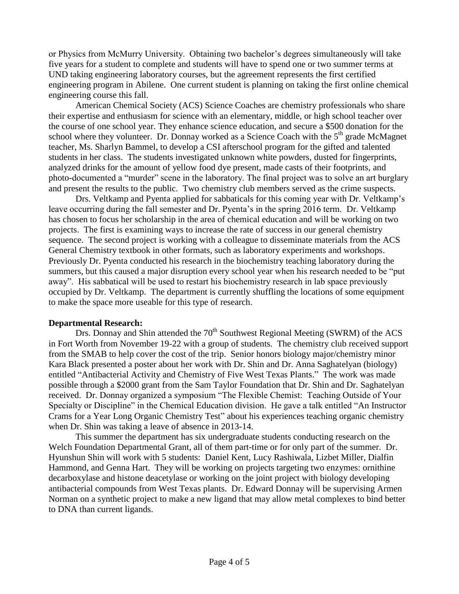or Physics from McMurry University. Obtaining two bachelor's degrees simultaneously will take five years for a student to complete and students will have to spend one or two summer terms at UND taking engineering laboratory courses, but the agreement represents the first certified engineering program in Abilene. One current student is planning on taking the first online chemical engineering course this fall.

American Chemical Society (ACS) Science Coaches are chemistry professionals who share their expertise and enthusiasm for science with an elementary, middle, or high school teacher over the course of one school year. They enhance science education, and secure a \$500 donation for the school where they volunteer. Dr. Donnay worked as a Science Coach with the  $5<sup>th</sup>$  grade McMagnet teacher, Ms. Sharlyn Bammel, to develop a CSI afterschool program for the gifted and talented students in her class. The students investigated unknown white powders, dusted for fingerprints, analyzed drinks for the amount of yellow food dye present, made casts of their footprints, and photo-documented a "murder" scene in the laboratory. The final project was to solve an art burglary and present the results to the public. Two chemistry club members served as the crime suspects.

Drs. Veltkamp and Pyenta applied for sabbaticals for this coming year with Dr. Veltkamp's leave occurring during the fall semester and Dr. Pyenta's in the spring 2016 term. Dr. Veltkamp has chosen to focus her scholarship in the area of chemical education and will be working on two projects. The first is examining ways to increase the rate of success in our general chemistry sequence. The second project is working with a colleague to disseminate materials from the ACS General Chemistry textbook in other formats, such as laboratory experiments and workshops. Previously Dr. Pyenta conducted his research in the biochemistry teaching laboratory during the summers, but this caused a major disruption every school year when his research needed to be "put away". His sabbatical will be used to restart his biochemistry research in lab space previously occupied by Dr. Veltkamp. The department is currently shuffling the locations of some equipment to make the space more useable for this type of research.

#### **Departmental Research:**

Drs. Donnay and Shin attended the 70<sup>th</sup> Southwest Regional Meeting (SWRM) of the ACS in Fort Worth from November 19-22 with a group of students. The chemistry club received support from the SMAB to help cover the cost of the trip. Senior honors biology major/chemistry minor Kara Black presented a poster about her work with Dr. Shin and Dr. Anna Saghatelyan (biology) entitled "Antibacterial Activity and Chemistry of Five West Texas Plants." The work was made possible through a \$2000 grant from the Sam Taylor Foundation that Dr. Shin and Dr. Saghatelyan received. Dr. Donnay organized a symposium "The Flexible Chemist: Teaching Outside of Your Specialty or Discipline" in the Chemical Education division. He gave a talk entitled "An Instructor Crams for a Year Long Organic Chemistry Test" about his experiences teaching organic chemistry when Dr. Shin was taking a leave of absence in 2013-14.

This summer the department has six undergraduate students conducting research on the Welch Foundation Departmental Grant, all of them part-time or for only part of the summer. Dr. Hyunshun Shin will work with 5 students: Daniel Kent, Lucy Rashiwala, Lizbet Miller, Dialfin Hammond, and Genna Hart. They will be working on projects targeting two enzymes: ornithine decarboxylase and histone deacetylase or working on the joint project with biology developing antibacterial compounds from West Texas plants. Dr. Edward Donnay will be supervising Armen Norman on a synthetic project to make a new ligand that may allow metal complexes to bind better to DNA than current ligands.